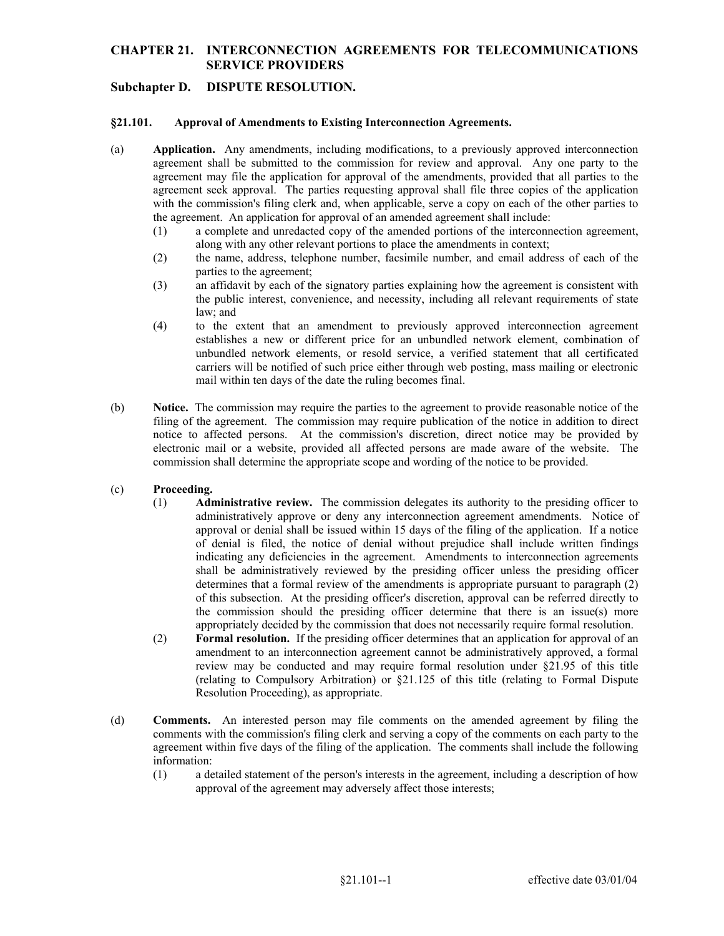## **CHAPTER 21. INTERCONNECTION AGREEMENTS FOR TELECOMMUNICATIONS SERVICE PROVIDERS**

# **Subchapter D. DISPUTE RESOLUTION.**

#### **§21.101. Approval of Amendments to Existing Interconnection Agreements.**

- (a) **Application.** Any amendments, including modifications, to a previously approved interconnection agreement shall be submitted to the commission for review and approval. Any one party to the agreement may file the application for approval of the amendments, provided that all parties to the agreement seek approval. The parties requesting approval shall file three copies of the application with the commission's filing clerk and, when applicable, serve a copy on each of the other parties to the agreement. An application for approval of an amended agreement shall include:
	- (1) a complete and unredacted copy of the amended portions of the interconnection agreement, along with any other relevant portions to place the amendments in context;
	- (2) the name, address, telephone number, facsimile number, and email address of each of the parties to the agreement;
	- (3) an affidavit by each of the signatory parties explaining how the agreement is consistent with the public interest, convenience, and necessity, including all relevant requirements of state law; and
	- carriers will be notified of such price either through web posting, mass mailing or electronic (4) to the extent that an amendment to previously approved interconnection agreement establishes a new or different price for an unbundled network element, combination of unbundled network elements, or resold service, a verified statement that all certificated mail within ten days of the date the ruling becomes final.
- filing of the agreement. The commission may require publication of the notice in addition to direct notice to affected persons. At the commission's discretion, direct notice may be provided by (b) **Notice.** The commission may require the parties to the agreement to provide reasonable notice of the electronic mail or a website, provided all affected persons are made aware of the website. The commission shall determine the appropriate scope and wording of the notice to be provided.

#### (c) **Proceeding.**

- (1) **Administrative review.** The commission delegates its authority to the presiding officer to of this subsection. At the presiding officer's discretion, approval can be referred directly to administratively approve or deny any interconnection agreement amendments. Notice of approval or denial shall be issued within 15 days of the filing of the application. If a notice of denial is filed, the notice of denial without prejudice shall include written findings indicating any deficiencies in the agreement. Amendments to interconnection agreements shall be administratively reviewed by the presiding officer unless the presiding officer determines that a formal review of the amendments is appropriate pursuant to paragraph (2) the commission should the presiding officer determine that there is an issue(s) more appropriately decided by the commission that does not necessarily require formal resolution.
- (2) **Formal resolution.** If the presiding officer determines that an application for approval of an amendment to an interconnection agreement cannot be administratively approved, a formal review may be conducted and may require formal resolution under §21.95 of this title (relating to Compulsory Arbitration) or §21.125 of this title (relating to Formal Dispute Resolution Proceeding), as appropriate.
- (d) **Comments.** An interested person may file comments on the amended agreement by filing the comments with the commission's filing clerk and serving a copy of the comments on each party to the agreement within five days of the filing of the application. The comments shall include the following information:
	- (1) a detailed statement of the person's interests in the agreement, including a description of how approval of the agreement may adversely affect those interests;